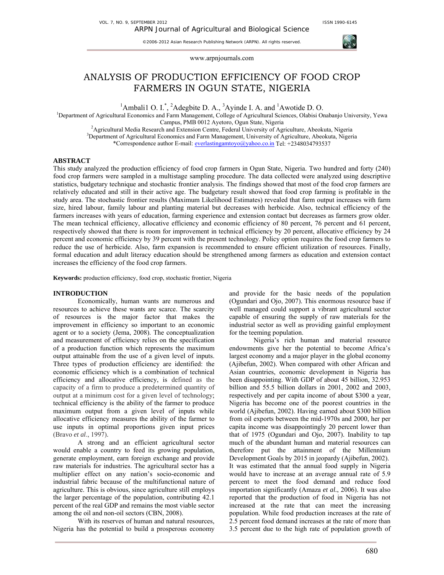VOL. 7, NO. 9, SEPTEMBER 2012 **ISSN 1990-6145** 

©2006-2012 Asian Research Publishing Network (ARPN). All rights reserved.



# ANALYSIS OF PRODUCTION EFFICIENCY OF FOOD CROP FARMERS IN OGUN STATE, NIGERIA

<sup>1</sup>Ambalil O. I.<sup>\*</sup>, <sup>2</sup>Adegbite D. A., <sup>3</sup>Ayinde I. A. and <sup>1</sup>Awotide D. O.<br><sup>1</sup>Department of Agricultural Economics and Ferm Management, College of Agricultural Sciences, Olebisi On

<sup>1</sup>Department of Agricultural Economics and Farm Management, College of Agricultural Sciences, Olabisi Onabanjo University, Yewa Campus, PMB 0012 Ayetoro, Ogun State, Nigeria 2

<sup>2</sup> Agricultural Media Research and Extension Centre, Federal University of Agriculture, Abeokuta, Nigeria <sup>3</sup>Department of Agricultural Economics and Farm Management, University of Agriculture, Abeokuta, Nigeria \*Correspondence author E-mail: everlastingamtoyo@yahoo.co.in Tel: +2348034793537

## **ABSTRACT**

This study analyzed the production efficiency of food crop farmers in Ogun State, Nigeria. Two hundred and forty (240) food crop farmers were sampled in a multistage sampling procedure. The data collected were analyzed using descriptive statistics, budgetary technique and stochastic frontier analysis. The findings showed that most of the food crop farmers are relatively educated and still in their active age. The budgetary result showed that food crop farming is profitable in the study area. The stochastic frontier results (Maximum Likelihood Estimates) revealed that farm output increases with farm size, hired labour, family labour and planting material but decreases with herbicide. Also, technical efficiency of the farmers increases with years of education, farming experience and extension contact but decreases as farmers grow older. The mean technical efficiency, allocative efficiency and economic efficiency of 80 percent, 76 percent and 61 percent, respectively showed that there is room for improvement in technical efficiency by 20 percent, allocative efficiency by 24 percent and economic efficiency by 39 percent with the present technology. Policy option requires the food crop farmers to reduce the use of herbicide. Also, farm expansion is recommended to ensure efficient utilization of resources. Finally, formal education and adult literacy education should be strengthened among farmers as education and extension contact increases the efficiency of the food crop farmers.

**Keywords:** production efficiency, food crop, stochastic frontier, Nigeria

#### **INTRODUCTION**

Economically, human wants are numerous and resources to achieve these wants are scarce. The scarcity of resources is the major factor that makes the improvement in efficiency so important to an economic agent or to a society (Jema, 2008). The conceptualization and measurement of efficiency relies on the specification of a production function which represents the maximum output attainable from the use of a given level of inputs. Three types of production efficiency are identified: the economic efficiency which is a combination of technical efficiency and allocative efficiency, is defined as the capacity of a firm to produce a predetermined quantity of output at a minimum cost for a given level of technology; technical efficiency is the ability of the farmer to produce maximum output from a given level of inputs while allocative efficiency measures the ability of the farmer to use inputs in optimal proportions given input prices (Bravo *et al*., 1997).

A strong and an efficient agricultural sector would enable a country to feed its growing population, generate employment, earn foreign exchange and provide raw materials for industries. The agricultural sector has a multiplier effect on any nation's socio-economic and industrial fabric because of the multifunctional nature of agriculture. This is obvious, since agriculture still employs the larger percentage of the population, contributing 42.1 percent of the real GDP and remains the most viable sector among the oil and non-oil sectors (CBN, 2008).

With its reserves of human and natural resources, Nigeria has the potential to build a prosperous economy and provide for the basic needs of the population (Ogundari and Ojo, 2007). This enormous resource base if well managed could support a vibrant agricultural sector capable of ensuring the supply of raw materials for the industrial sector as well as providing gainful employment for the teeming population.

Nigeria's rich human and material resource endowments give her the potential to become Africa's largest economy and a major player in the global economy (Ajibefun, 2002). When compared with other African and Asian countries, economic development in Nigeria has been disappointing. With GDP of about 45 billion, 32.953 billion and 55.5 billion dollars in 2001, 2002 and 2003, respectively and per capita income of about \$300 a year, Nigeria has become one of the poorest countries in the world (Ajibefun, 2002). Having earned about \$300 billion from oil exports between the mid-1970s and 2000, her per capita income was disappointingly 20 percent lower than that of 1975 (Ogundari and Ojo, 2007). Inability to tap much of the abundant human and material resources can therefore put the attainment of the Millennium Development Goals by 2015 in jeopardy (Ajibefun, 2002). It was estimated that the annual food supply in Nigeria would have to increase at an average annual rate of 5.9 percent to meet the food demand and reduce food importation significantly (Amaza *et al.*, 2006). It was also reported that the production of food in Nigeria has not increased at the rate that can meet the increasing population. While food production increases at the rate of 2.5 percent food demand increases at the rate of more than 3.5 percent due to the high rate of population growth of

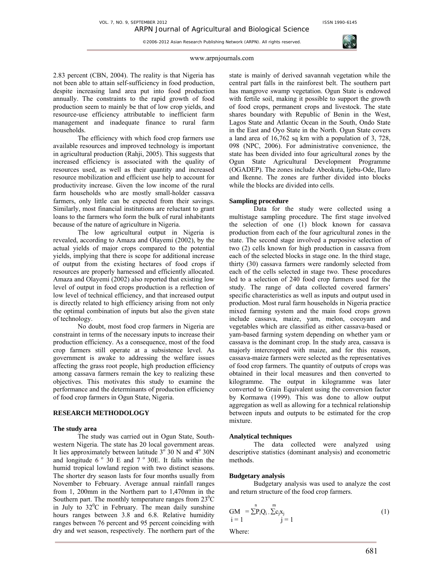

#### www.arpnjournals.com

2.83 percent (CBN, 2004). The reality is that Nigeria has not been able to attain self-sufficiency in food production, despite increasing land area put into food production annually. The constraints to the rapid growth of food production seem to mainly be that of low crop yields, and resource-use efficiency attributable to inefficient farm management and inadequate finance to rural farm households.

The efficiency with which food crop farmers use available resources and improved technology is important in agricultural production (Rahji, 2005). This suggests that increased efficiency is associated with the quality of resources used, as well as their quantity and increased resource mobilization and efficient use help to account for productivity increase. Given the low income of the rural farm households who are mostly small-holder cassava farmers, only little can be expected from their savings. Similarly, most financial institutions are reluctant to grant loans to the farmers who form the bulk of rural inhabitants because of the nature of agriculture in Nigeria.

The low agricultural output in Nigeria is revealed, according to Amaza and Olayemi (2002), by the actual yields of major crops compared to the potential yields, implying that there is scope for additional increase of output from the existing hectares of food crops if resources are properly harnessed and efficiently allocated. Amaza and Olayemi (2002) also reported that existing low level of output in food crops production is a reflection of low level of technical efficiency, and that increased output is directly related to high efficiency arising from not only the optimal combination of inputs but also the given state of technology.

No doubt, most food crop farmers in Nigeria are constraint in terms of the necessary inputs to increase their production efficiency. As a consequence, most of the food crop farmers still operate at a subsistence level. As government is awake to addressing the welfare issues affecting the grass root people, high production efficiency among cassava farmers remain the key to realizing these objectives. This motivates this study to examine the performance and the determinants of production efficiency of food crop farmers in Ogun State, Nigeria.

# **RESEARCH METHODOLOGY**

#### **The study area**

The study was carried out in Ogun State, Southwestern Nigeria. The state has 20 local government areas. It lies approximately between latitude  $3^{\circ}$  30 N and  $4^{\circ}$  30N and longitude  $6^\circ$  30 E and  $7^\circ$  30E. It falls within the humid tropical lowland region with two distinct seasons. The shorter dry season lasts for four months usually from November to February. Average annual rainfall ranges from 1, 200mm in the Northern part to 1,470mm in the Southern part. The monthly temperature ranges from  $23^{\circ}$ C in July to  $32^{\circ}$ C in February. The mean daily sunshine hours ranges between 3.8 and 6.8. Relative humidity ranges between 76 percent and 95 percent coinciding with dry and wet season, respectively. The northern part of the

state is mainly of derived savannah vegetation while the central part falls in the rainforest belt. The southern part has mangrove swamp vegetation. Ogun State is endowed with fertile soil, making it possible to support the growth of food crops, permanent crops and livestock. The state shares boundary with Republic of Benin in the West, Lagos State and Atlantic Ocean in the South, Ondo State in the East and Oyo State in the North. Ogun State covers a land area of 16,762 sq km with a population of 3, 728, 098 (NPC, 2006). For administrative convenience, the state has been divided into four agricultural zones by the Ogun State Agricultural Development Programme (OGADEP). The zones include Abeokuta, Ijebu-Ode, Ilaro and Ikenne. The zones are further divided into blocks while the blocks are divided into cells.

#### **Sampling procedure**

Data for the study were collected using a multistage sampling procedure. The first stage involved the selection of one (1) block known for cassava production from each of the four agricultural zones in the state. The second stage involved a purposive selection of two (2) cells known for high production in cassava from each of the selected blocks in stage one. In the third stage, thirty (30) cassava farmers were randomly selected from each of the cells selected in stage two. These procedures led to a selection of 240 food crop farmers used for the study. The range of data collected covered farmers' specific characteristics as well as inputs and output used in production. Most rural farm households in Nigeria practice mixed farming system and the main food crops grown include cassava, maize, yam, melon, cocoyam and vegetables which are classified as either cassava-based or yam-based farming system depending on whether yam or cassava is the dominant crop. In the study area, cassava is majorly intercropped with maize, and for this reason, cassava-maize farmers were selected as the representatives of food crop farmers. The quantity of outputs of crops was obtained in their local measures and then converted to kilogramme. The output in kilogramme was later converted to Grain Equivalent using the conversion factor by Kormawa (1999). This was done to allow output aggregation as well as allowing for a technical relationship between inputs and outputs to be estimated for the crop mixture.

#### **Analytical techniques**

The data collected were analyzed using descriptive statistics (dominant analysis) and econometric methods.

#### **Budgetary analysis**

Budgetary analysis was used to analyze the cost and return structure of the food crop farmers.

$$
GM = \sum_{i=1}^{n} P_i Q_i \cdot \sum_{j=1}^{m} x_j
$$
 (1)

Where: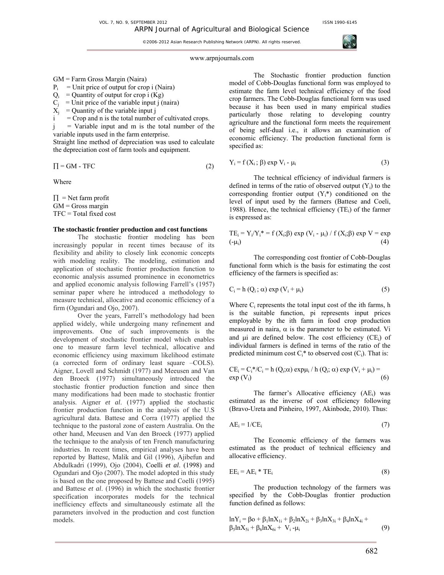

#### www.arpnjournals.com

## GM = Farm Gross Margin (Naira)

- $P_i$  = Unit price of output for crop i (Naira)
- $Q_i$  = Quantity of output for crop i (Kg)
- $C_i$  = Unit price of the variable input j (naira)
- $X_i$  = Quantity of the variable input j
- $=$  Crop and n is the total number of cultivated crops.

 $j =$  Variable input and m is the total number of the variable inputs used in the farm enterprise.

Straight line method of depreciation was used to calculate the depreciation cost of farm tools and equipment.

$$
\Pi = GM - TFC \tag{2}
$$

Where

 $\Pi$  = Net farm profit  $GM =$  Gross margin TFC = Total fixed cost

#### **The stochastic frontier production and cost functions**

The stochastic frontier modeling has been increasingly popular in recent times because of its flexibility and ability to closely link economic concepts with modeling reality. The modeling, estimation and application of stochastic frontier production function to economic analysis assumed prominence in econometrics and applied economic analysis following Farrell's (1957) seminar paper where he introduced a methodology to measure technical, allocative and economic efficiency of a firm (Ogundari and Ojo, 2007).

Over the years, Farrell's methodology had been applied widely, while undergoing many refinement and improvements. One of such improvements is the development of stochastic frontier model which enables one to measure farm level technical, allocative and economic efficiency using maximum likelihood estimate (a corrected form of ordinary least square –COLS). Aigner, Lovell and Schmidt (1977) and Meeusen and Van den Broeck (1977) simultaneously introduced the stochastic frontier production function and since then many modifications had been made to stochastic frontier analysis. Aigner *et al*. (1977) applied the stochastic frontier production function in the analysis of the U.S agricultural data. Battese and Corra (1977) applied the technique to the pastoral zone of eastern Australia. On the other hand, Meeusen and Van den Broeck (1977) applied the technique to the analysis of ten French manufacturing industries. In recent times, empirical analyses have been reported by Battese, Malik and Gil (1996), Ajibefun and Abdulkadri (1999), Ojo (2004), Coelli *et al*. (1998) and Ogundari and Ojo (2007). The model adopted in this study is based on the one proposed by Battese and Coelli (1995) and Battese *et al*. (1996) in which the stochastic frontier specification incorporates models for the technical inefficiency effects and simultaneously estimate all the parameters involved in the production and cost function models.

The Stochastic frontier production function model of Cobb-Douglas functional form was employed to estimate the farm level technical efficiency of the food crop farmers. The Cobb-Douglas functional form was used because it has been used in many empirical studies particularly those relating to developing country agriculture and the functional form meets the requirement of being self-dual i.e., it allows an examination of economic efficiency. The production functional form is specified as:

$$
Y_i = f(X_i; \beta) \exp V_i - \mu_i \tag{3}
$$

The technical efficiency of individual farmers is defined in terms of the ratio of observed output  $(Y_i)$  to the corresponding frontier output  $(Y_i^*)$  conditioned on the level of input used by the farmers (Battese and Coeli, 1988). Hence, the technical efficiency  $(TE_i)$  of the farmer is expressed as:

$$
TE_i = Y_i/Y_i^* = f(X_i;\beta) \exp (V_i - \mu_i) / f(X_i;\beta) \exp V = \exp ( -\mu_i)
$$
\n(4)

The corresponding cost frontier of Cobb-Douglas functional form which is the basis for estimating the cost efficiency of the farmers is specified as:

$$
C_i = h(Q_i; \alpha) \exp (V_i + \mu_i)
$$
 (5)

Where C<sub>i</sub> represents the total input cost of the ith farms, h is the suitable function, pi represents input prices employable by the ith farm in food crop production measured in naira,  $\alpha$  is the parameter to be estimated. Vi and ui are defined below. The cost efficiency (CE;) of individual farmers is defined in terms of the ratio of the predicted minimum cost  $C_i^*$  to observed cost  $(C_i)$ . That is:

$$
CEi = Ci*/Ci = h (Qi; α) expμi / h (Qi; α) exp (Vi + μi) = (6)
$$

The farmer's Allocative efficiency (AE;) was estimated as the inverse of cost efficiency following (Bravo-Ureta and Pinheiro, 1997, Akinbode, 2010). Thus:

$$
AE_i = 1/CE_i \tag{7}
$$

The Economic efficiency of the farmers was estimated as the product of technical efficiency and allocative efficiency.

$$
EE_i = AE_i * TE_i \tag{8}
$$

The production technology of the farmers was specified by the Cobb-Douglas frontier production function defined as follows:

$$
\ln Y_{i} = \beta_{0} + \beta_{1} \ln X_{1i} + \beta_{2} \ln X_{2i} + \beta_{3} \ln X_{3i} + \beta_{4} \ln X_{4i} + \beta_{5} \ln X_{5i} + \beta_{6} \ln X_{6i} + V_{i} - \mu_{i}
$$
\n(9)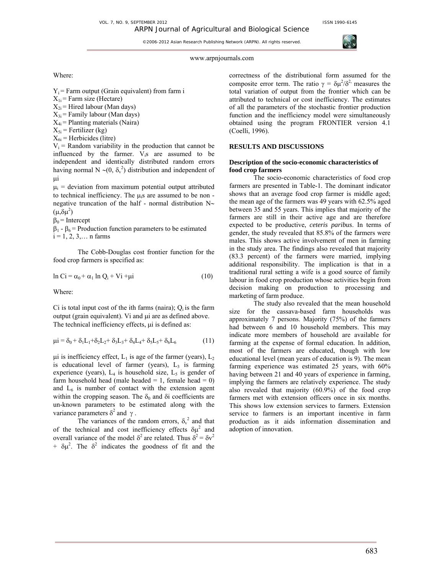

www.arpnjournals.com

Where:

 $Y_i$  = Farm output (Grain equivalent) from farm i

 $X_{1i}$  = Farm size (Hectare)

- $X_{2i}$  = Hired labour (Man days)
- $X_{3i}$  = Family labour (Man days)

 $X_{4i}$  = Planting materials (Naira)

 $X_{5i}$  = Fertilizer (kg)

 $X_{6i}$  = Herbicides (litre)

 $V_i$  = Random variability in the production that cannot be influenced by the farmer. V<sub>i</sub>s are assumed to be independent and identically distributed random errors having normal N ~ $(0, \delta_v^2)$  distribution and independent of µi

 $\mu_i$  = deviation from maximum potential output attributed to technical inefficiency. The  $\mu_i$ s are assumed to be non negative truncation of the half - normal distribution N∼  $(\mu, \delta \mu^2)$ 

 $\beta_0$  = Intercept

 $β_1 - β_6 =$  Production function parameters to be estimated  $i = 1, 2, 3, \dots$  n farms

The Cobb-Douglas cost frontier function for the food crop farmers is specified as:

$$
\ln Ci = \alpha_0 + \alpha_1 \ln Q_i + Vi + \mu i \tag{10}
$$

Where:

Ci is total input cost of the ith farms (naira);  $Q_i$  is the farm output (grain equivalent). Vi and  $\mu$ i are as defined above. The technical inefficiency effects,  $\mu$  is defined as:

$$
\mu i = \delta_0 + \delta_1 L_1 + \delta_2 L_2 + \delta_3 L_3 + \delta_4 L_4 + \delta_5 L_5 + \delta_6 L_6 \tag{11}
$$

 $\mu$ i is inefficiency effect, L<sub>1</sub> is age of the farmer (years), L<sub>2</sub> is educational level of farmer (years),  $L_3$  is farming experience (years),  $L_4$  is household size,  $L_5$  is gender of farm household head (male headed  $= 1$ , female head  $= 0$ ) and  $L<sub>6</sub>$  is number of contact with the extension agent within the cropping season. The  $\delta_0$  and  $\delta$ i coefficients are un-known parameters to be estimated along with the variance parameters  $\delta^2$  and γ.

The variances of the random errors,  $\delta_{v}^{2}$  and that of the technical and cost inefficiency effects  $\delta \mu^2$  and overall variance of the model  $δ<sup>2</sup>$  are related. Thus  $δ<sup>2</sup> = δv<sup>2</sup>$ +  $\delta \mu^2$ . The  $\delta^2$  indicates the goodness of fit and the correctness of the distributional form assumed for the composite error term. The ratio  $\gamma = \delta \mu^2/\delta^2$  measures the total variation of output from the frontier which can be attributed to technical or cost inefficiency. The estimates of all the parameters of the stochastic frontier production function and the inefficiency model were simultaneously obtained using the program FRONTIER version 4.1 (Coelli, 1996).

# **RESULTS AND DISCUSSIONS**

## **Description of the socio-economic characteristics of food crop farmers**

The socio-economic characteristics of food crop farmers are presented in Table-1. The dominant indicator shows that an average food crop farmer is middle aged; the mean age of the farmers was 49 years with 62.5% aged between 35 and 55 years. This implies that majority of the farmers are still in their active age and are therefore expected to be productive, *ceteris paribus*. In terms of gender, the study revealed that 85.8% of the farmers were males. This shows active involvement of men in farming in the study area. The findings also revealed that majority (83.3 percent) of the farmers were married, implying additional responsibility. The implication is that in a traditional rural setting a wife is a good source of family labour in food crop production whose activities begin from decision making on production to processing and marketing of farm produce.

The study also revealed that the mean household size for the cassava-based farm households was approximately 7 persons. Majority (75%) of the farmers had between 6 and 10 household members. This may indicate more members of household are available for farming at the expense of formal education. In addition, most of the farmers are educated, though with low educational level (mean years of education is 9). The mean farming experience was estimated 25 years, with 60% having between 21 and 40 years of experience in farming, implying the farmers are relatively experience. The study also revealed that majority (60.9%) of the food crop farmers met with extension officers once in six months. This shows low extension services to farmers. Extension service to farmers is an important incentive in farm production as it aids information dissemination and adoption of innovation.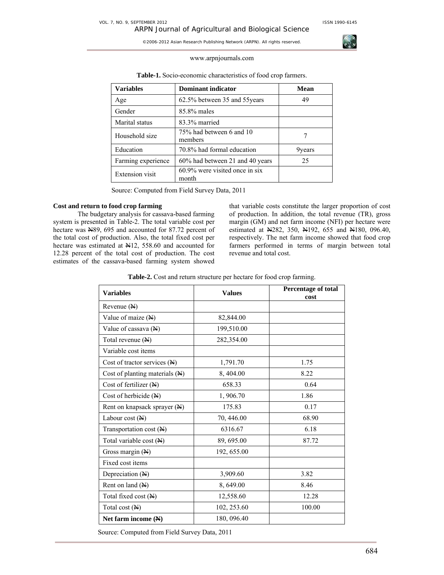

#### www.arpnjournals.com

| <b>Variables</b>       | <b>Dominant indicator</b>               | Mean   |  |
|------------------------|-----------------------------------------|--------|--|
| Age                    | 62.5% between 35 and 55years            | 49     |  |
| Gender                 | 85.8% males                             |        |  |
| Marital status         | 83.3% married                           |        |  |
| Household size         | 75% had between 6 and 10<br>members     |        |  |
| Education              | 70.8% had formal education              | 9years |  |
| Farming experience     | 60% had between 21 and 40 years         | 25     |  |
| <b>Extension</b> visit | 60.9% were visited once in six<br>month |        |  |

**Table-1.** Socio-economic characteristics of food crop farmers.

Source: Computed from Field Survey Data, 2011

#### **Cost and return to food crop farming**

The budgetary analysis for cassava-based farming system is presented in Table-2. The total variable cost per hectare was N89, 695 and accounted for 87.72 percent of the total cost of production. Also, the total fixed cost per hectare was estimated at  $H12$ , 558.60 and accounted for 12.28 percent of the total cost of production. The cost estimates of the cassava-based farming system showed that variable costs constitute the larger proportion of cost of production. In addition, the total revenue (TR), gross margin (GM) and net farm income (NFI) per hectare were estimated at N282, 350, N192, 655 and N180, 096.40, respectively. The net farm income showed that food crop farmers performed in terms of margin between total revenue and total cost.

**Table-2.** Cost and return structure per hectare for food crop farming.

| <b>Variables</b>                        | <b>Values</b> | Percentage of total<br>cost |  |
|-----------------------------------------|---------------|-----------------------------|--|
| Revenue $(N)$                           |               |                             |  |
| Value of maize $(N)$                    | 82,844.00     |                             |  |
| Value of cassava $(\mathbb{H})$         | 199,510.00    |                             |  |
| Total revenue (N)                       | 282,354.00    |                             |  |
| Variable cost items                     |               |                             |  |
| Cost of tractor services $(\mathbb{N})$ | 1,791.70      | 1.75                        |  |
| Cost of planting materials (N)          | 8,404.00      | 8.22                        |  |
| Cost of fertilizer $(\mathbb{H})$       | 658.33        | 0.64                        |  |
| Cost of herbicide (N)                   | 1,906.70      | 1.86                        |  |
| Rent on knapsack sprayer $(\mathbb{N})$ | 175.83        | 0.17                        |  |
| Labour cost $(\mathbb{H})$              | 70, 446.00    | 68.90                       |  |
| Transportation cost (N)                 | 6316.67       | 6.18                        |  |
| Total variable cost $(\mathbb{A})$      | 89, 695.00    | 87.72                       |  |
| Gross margin $(\mathbb{H})$             | 192, 655.00   |                             |  |
| Fixed cost items                        |               |                             |  |
| Depreciation $(N)$                      | 3,909.60      | 3.82                        |  |
| Rent on land $(N)$                      | 8,649.00      | 8.46                        |  |
| Total fixed cost $(\mathbb{N})$         | 12,558.60     | 12.28                       |  |
| Total cost $(M)$                        | 102, 253.60   | 100.00                      |  |
| Net farm income $(\mathbb{N})$          | 180, 096.40   |                             |  |

Source: Computed from Field Survey Data, 2011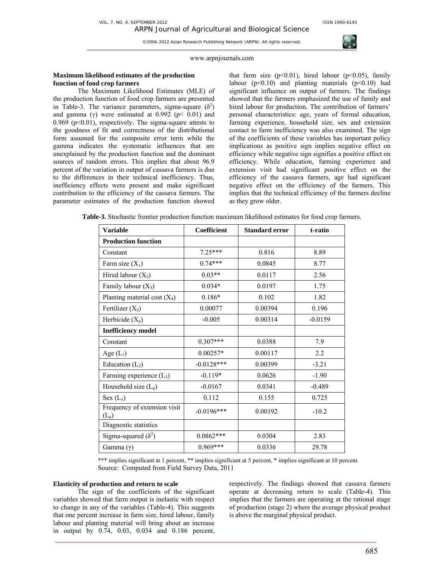ARPN Journal of Agricultural and Biological Science ©2006-2012 Asian Research Publishing Network (ARPN). All rights reserved.



#### www.arpnjournals.com

#### **Maximum likelihood estimates of the production function of food crop farmers**

The Maximum Likelihood Estimates (MLE) of the production function of food crop farmers are presented in Table-3. The variance parameters, sigma-square  $(\delta^2)$ and gamma (γ) were estimated at 0.992 ( $p < 0.01$ ) and 0.969 ( $p<0.01$ ), respectively. The sigma-square attests to the goodness of fit and correctness of the distributional form assumed for the composite error term while the gamma indicates the systematic influences that are unexplained by the production function and the dominant sources of random errors. This implies that about 96.9 percent of the variation in output of cassava farmers is due to the differences in their technical inefficiency. Thus, inefficiency effects were present and make significant contribution to the efficiency of the cassava farmers. The parameter estimates of the production function showed

that farm size  $(p<0.01)$ , hired labour  $(p<0.05)$ , family labour  $(p<0.10)$  and planting materials  $(p<0.10)$  had significant influence on output of farmers. The findings showed that the farmers emphasized the use of family and hired labour for production. The contribution of farmers' personal characteristics: age, years of formal education, farming experience, household size, sex and extension contact to farm inefficiency was also examined. The sign of the coefficients of these variables has important policy implications as positive sign implies negative effect on efficiency while negative sign signifies a positive effect on efficiency. While education, farming experience and extension visit had significant positive effect on the efficiency of the cassava farmers, age had significant negative effect on the efficiency of the farmers. This implies that the technical efficiency of the farmers decline as they grow older.

| <b>Variable</b>                         | <b>Coefficient</b> | <b>Standard error</b> | t-ratio   |  |
|-----------------------------------------|--------------------|-----------------------|-----------|--|
| <b>Production function</b>              |                    |                       |           |  |
| Constant                                | $7.25***$          | 0.816                 | 8.89      |  |
| Farm size $(X_1)$                       | $0.74***$          | 0.0845                | 8.77      |  |
| Hired labour $(X_2)$                    | $0.03**$           | 0.0117                | 2.56      |  |
| Family labour $(X_3)$                   | $0.034*$           | 0.0197                | 1.75      |  |
| Planting material cost $(X_4)$          | $0.186*$           | 0.102                 | 1.82      |  |
| Fertilizer $(X_5)$                      | 0.00077            | 0.00394               | 0.196     |  |
| Herbicide $(X_6)$                       | $-0.005$           | 0.00314               | $-0.0159$ |  |
| <b>Inefficiency model</b>               |                    |                       |           |  |
| Constant                                | $0.307***$         | 0.0388                | 7.9       |  |
| Age $(L_1)$                             | $0.00257*$         | 0.00117               | 2.2       |  |
| Education $(L_2)$                       | $-0.0128***$       | 0.00399               | $-3.21$   |  |
| Farming experience $(L_3)$              | $-0.119*$          | 0.0626                | $-1.90$   |  |
| Household size $(L_4)$                  | $-0.0167$          | 0.0341                | $-0.489$  |  |
| Sex $(L_5)$                             | 0.112              | 0.155                 | 0.725     |  |
| Frequency of extension visit<br>$(L_6)$ | $-0.0196***$       | 0.00192               | $-10.2$   |  |
| Diagnostic statistics                   |                    |                       |           |  |
| Sigma-squared $(\delta^2)$              | $0.0862***$        | 0.0304                | 2.83      |  |
| Gamma $(\gamma)$                        | $0.969***$         | 0.0336                | 29.78     |  |

**Table-3.** Stochastic frontier production function maximum likelihood estimates for food crop farmers.

\*\*\* implies significant at 1 percent, \*\* implies significant at 5 percent, \* implies significant at 10 percent. Source:Computed from Field Survey Data, 2011

#### **Elasticity of production and return to scale**

The sign of the coefficients of the significant variables showed that farm output is inelastic with respect to change in any of the variables (Table-4). This suggests that one percent increase in farm size, hired labour, family labour and planting material will bring about an increase in output by 0.74, 0.03, 0.034 and 0.186 percent, respectively. The findings showed that cassava farmers operate at decreasing return to scale (Table-4). This implies that the farmers are operating at the rational stage of production (stage 2) where the average physical product is above the marginal physical product.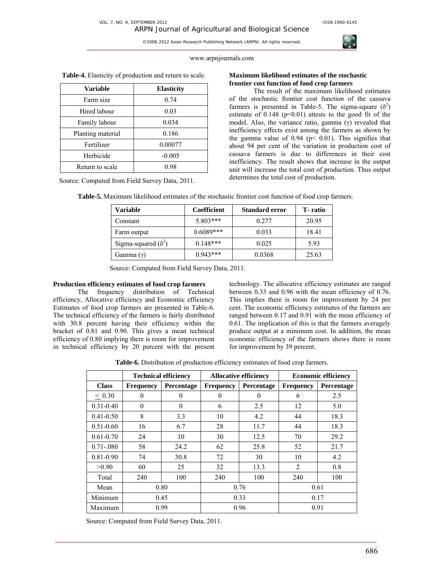

## www.arpnjournals.com

| <b>Variable</b>   | <b>Elasticity</b> |  |
|-------------------|-------------------|--|
| Farm size         | 0.74              |  |
| Hired labour      | 0.03              |  |
| Family labour     | 0.034             |  |
| Planting material | 0.186             |  |
| Fertilizer        | 0.00077           |  |
| Herbicide         | $-0.005$          |  |
| Return to scale   | 0.98              |  |

**Table-4.** Elasticity of production and return to scale.

Source: Computed from Field Survey Data, 2011.

## **Maximum likelihood estimates of the stochastic frontier cost function of food crop farmers**

The result of the maximum likelihood estimates of the stochastic frontier cost function of the cassava farmers is presented in Table-5. The sigma-square  $(\delta^2)$ estimate of  $0.148$  ( $p<0.01$ ) attests to the good fit of the model. Also, the variance ratio, gamma (γ) revealed that inefficiency effects exist among the farmers as shown by the gamma value of  $0.94$  ( $p < 0.01$ ). This signifies that about 94 per cent of the variation in production cost of cassava farmers is due to differences in their cost inefficiency. The result shows that increase in the output unit will increase the total cost of production. Thus output determines the total cost of production.

| <b>Table-5.</b> Maximum likelihood estimates of the stochastic frontier cost function of food crop farmers. |  |
|-------------------------------------------------------------------------------------------------------------|--|
|-------------------------------------------------------------------------------------------------------------|--|

| Variable                   | Coefficient | <b>Standard error</b> | T-ratio |
|----------------------------|-------------|-----------------------|---------|
| Constant                   | 5.803***    | 0.277                 | 20.95   |
| Farm output                | $0.6089***$ | 0.033                 | 18.41   |
| Sigma-squared $(\delta^2)$ | $0.148***$  | 0.025                 | 5.93    |
| Gamma $(\gamma)$           | $0.943***$  | 0.0368                | 25.63   |

Source: Computed from Field Survey Data, 2011.

# **Production efficiency estimates of food crop farmers**

The frequency distribution of Technical efficiency, Allocative efficiency and Economic efficiency Estimates of food crop farmers are presented in Table-6. The technical efficiency of the farmers is fairly distributed with 30.8 percent having their efficiency within the bracket of 0.81 and 0.90. This gives a mean technical efficiency of 0.80 implying there is room for improvement in technical efficiency by 20 percent with the present technology. The allocative efficiency estimates are ranged between 0.33 and 0.96 with the mean efficiency of 0.76. This implies there is room for improvement by 24 per cent. The economic efficiency estimates of the farmers are ranged between 0.17 and 0.91 with the mean efficiency of 0.61. The implication of this is that the farmers averagely produce output at a minimum cost. In addition, the mean economic efficiency of the farmers shows there is room for improvement by 39 percent.

**Table-6.** Distribution of production efficiency estimates of food crop farmers.

|                | <b>Technical efficiency</b> |            | <b>Allocative efficiency</b> |            | <b>Economic efficiency</b> |            |
|----------------|-----------------------------|------------|------------------------------|------------|----------------------------|------------|
| <b>Class</b>   | <b>Frequency</b>            | Percentage | <b>Frequency</b>             | Percentage | <b>Frequency</b>           | Percentage |
| $\leq 0.30$    | $\theta$                    | $\theta$   | $\Omega$                     | $\theta$   | 6                          | 2.5        |
| $0.31 - 0.40$  | $\theta$                    | $\theta$   | 6                            | 2.5        | 12                         | 5.0        |
| $0.41 - 0.50$  | 8                           | 3.3        | 10                           | 4.2        | 44                         | 18.3       |
| $0.51 - 0.60$  | 16                          | 6.7        | 28                           | 11.7       | 44                         | 18.3       |
| $0.61 - 0.70$  | 24                          | 10         | 30                           | 12.5       | 70                         | 29.2       |
| $0.71 - 0.080$ | 58                          | 24.2       | 62                           | 25.8       | 52                         | 21.7       |
| $0.81 - 0.90$  | 74                          | 30.8       | 72                           | 30         | 10                         | 4.2        |
| >0.90          | 60                          | 25         | 32                           | 13.3       | $\overline{2}$             | 0.8        |
| Total          | 240                         | 100        | 240                          | 100        | 240                        | 100        |
| Mean           | 0.80                        |            | 0.76                         |            | 0.61                       |            |
| Minimum        | 0.45                        |            |                              | 0.33       |                            | 0.17       |
| Maximum        |                             | 0.99       |                              | 0.96       |                            | 0.91       |

Source: Computed from Field Survey Data, 2011.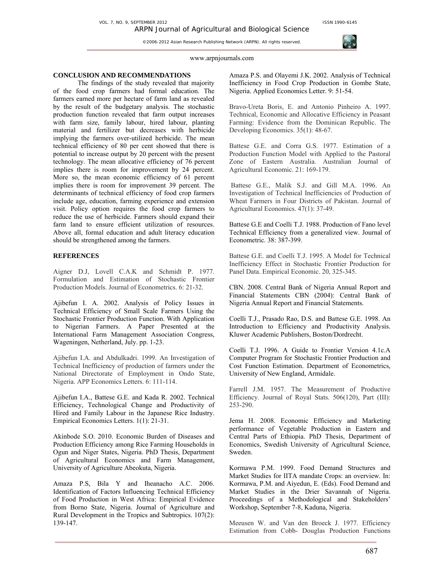

#### www.arpnjournals.com

## **CONCLUSION AND RECOMMENDATIONS**

The findings of the study revealed that majority of the food crop farmers had formal education. The farmers earned more per hectare of farm land as revealed by the result of the budgetary analysis. The stochastic production function revealed that farm output increases with farm size, family labour, hired labour, planting material and fertilizer but decreases with herbicide implying the farmers over-utilized herbicide. The mean technical efficiency of 80 per cent showed that there is potential to increase output by 20 percent with the present technology. The mean allocative efficiency of 76 percent implies there is room for improvement by 24 percent. More so, the mean economic efficiency of 61 percent implies there is room for improvement 39 percent. The determinants of technical efficiency of food crop farmers include age, education, farming experience and extension visit. Policy option requires the food crop farmers to reduce the use of herbicide. Farmers should expand their farm land to ensure efficient utilization of resources. Above all, formal education and adult literacy education should be strengthened among the farmers.

# **REFERENCES**

Aigner D.J, Lovell C.A.K and Schmidt P. 1977. Formulation and Estimation of Stochastic Frontier Production Models. Journal of Econometrics. 6: 21-32.

Ajibefun I. A. 2002. Analysis of Policy Issues in Technical Efficiency of Small Scale Farmers Using the Stochastic Frontier Production Function. With Application to Nigerian Farmers. A Paper Presented at the International Farm Management Association Congress, Wageningen, Netherland, July. pp. 1-23.

Ajibefun I.A. and Abdulkadri. 1999. An Investigation of Technical Inefficiency of production of farmers under the National Directorate of Employment in Ondo State, Nigeria. APP Economics Letters. 6: 111-114.

Ajibefun I.A., Battese G.E. and Kada R. 2002. Technical Efficiency, Technological Change and Productivity of Hired and Family Labour in the Japanese Rice Industry. Empirical Economics Letters. 1(1): 21-31.

Akinbode S.O. 2010. Economic Burden of Diseases and Production Efficiency among Rice Farming Households in Ogun and Niger States, Nigeria. PhD Thesis, Department of Agricultural Economics and Farm Management, University of Agriculture Abeokuta, Nigeria.

Amaza P.S, Bila Y and Iheanacho A.C. 2006. Identification of Factors Influencing Technical Efficiency of Food Production in West Africa: Empirical Evidence from Borno State, Nigeria. Journal of Agriculture and Rural Development in the Tropics and Subtropics. 107(2): 139-147.

Amaza P.S. and Olayemi J.K. 2002. Analysis of Technical Inefficiency in Food Crop Production in Gombe State, Nigeria. Applied Economics Letter. 9: 51-54.

Bravo-Ureta Boris, E. and Antonio Pinheiro A. 1997. Technical, Economic and Allocative Efficiency in Peasant Farming: Evidence from the Dominican Republic. The Developing Economics. 35(1): 48-67.

Battese G.E. and Corra G.S. 1977. Estimation of a Production Function Model with Applied to the Pastoral Zone of Eastern Australia. Australian Journal of Agricultural Economic. 21: 169-179.

 Battese G.E., Malik S.J. and Gill M.A. 1996. An Investigation of Technical Inefficiencies of Production of Wheat Farmers in Four Districts of Pakistan. Journal of Agricultural Economics. 47(1): 37-49.

Battese G.E and Coelli T.J. 1988. Production of Fano level Technical Efficiency from a generalized view. Journal of Econometric. 38: 387-399.

Battese G.E. and Coelli T.J. 1995. A Model for Technical Inefficiency Effect in Stochastic Frontier Production for Panel Data. Empirical Economic. 20, 325-345.

CBN. 2008. Central Bank of Nigeria Annual Report and Financial Statements CBN (2004): Central Bank of Nigeria Annual Report and Financial Statements.

Coelli T.J., Prasado Rao, D.S. and Battese G.E. 1998. An Introduction to Efficiency and Productivity Analysis. Kluwer Academic Publishers, Boston/Dordrecht.

Coelli T.J. 1996. A Guide to Frontier Version 4.1c.A Computer Program for Stochastic Frontier Production and Cost Function Estimation. Department of Econometrics, University of New England, Armidale.

Farrell J.M. 1957. The Measurement of Productive Efficiency. Journal of Royal Stats. 506(120), Part (III): 253-290.

Jema H. 2008. Economic Efficiency and Marketing performance of Vegetable Production in Eastern and Central Parts of Ethiopia. PhD Thesis, Department of Economics, Swedish University of Agricultural Science, Sweden.

Kormawa P.M. 1999. Food Demand Structures and Market Studies for IITA mandate Crops: an overview. In: Kormawa, P.M. and Aiyedun, E. (Eds). Food Demand and Market Studies in the Drier Savannah of Nigeria. Proceedings of a Methodological and Stakeholders' Workshop, September 7-8, Kaduna, Nigeria.

Meeusen W. and Van den Broeck J. 1977. Efficiency Estimation from Cobb- Douglas Production Functions